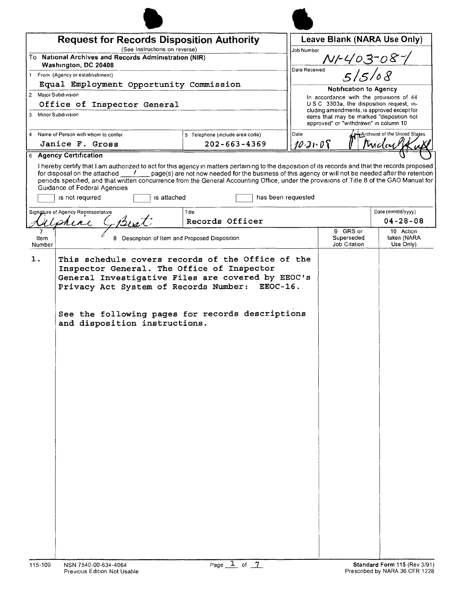| <b>Request for Records Disposition Authority</b><br>(See Instructions on reverse) |                                         |                                                                                                                                                                                                                                                                                                                                                                                                                                                           | Job Number                                        | Leave Blank (NARA Use Only)                                                              |                                       |  |
|-----------------------------------------------------------------------------------|-----------------------------------------|-----------------------------------------------------------------------------------------------------------------------------------------------------------------------------------------------------------------------------------------------------------------------------------------------------------------------------------------------------------------------------------------------------------------------------------------------------------|---------------------------------------------------|------------------------------------------------------------------------------------------|---------------------------------------|--|
| To National Archives and Records Administration (NIR)                             |                                         |                                                                                                                                                                                                                                                                                                                                                                                                                                                           |                                                   |                                                                                          |                                       |  |
| Washington, DC 20408<br>1 From (Agency or establishment)                          |                                         |                                                                                                                                                                                                                                                                                                                                                                                                                                                           | <u>NF403-08-1</u><br>"515/08<br>Date Received     |                                                                                          |                                       |  |
|                                                                                   | Equal Employment Opportunity Commission |                                                                                                                                                                                                                                                                                                                                                                                                                                                           |                                                   |                                                                                          |                                       |  |
| 2 Major Subdivision                                                               |                                         |                                                                                                                                                                                                                                                                                                                                                                                                                                                           |                                                   | <b>Notification to Agency</b><br>In accordance with the provisions of 44                 |                                       |  |
|                                                                                   | Office of Inspector General             |                                                                                                                                                                                                                                                                                                                                                                                                                                                           |                                                   | U.S.C. 3303a, the disposition request, in-<br>cluding amendments, is approved except for |                                       |  |
| 3 Minor Subdivision                                                               |                                         |                                                                                                                                                                                                                                                                                                                                                                                                                                                           |                                                   | items that may be marked "disposition not<br>approved" or "withdrawn" in column 10       |                                       |  |
| 4 Name of Person with whom to confer                                              |                                         | 5 Telephone (include area code)                                                                                                                                                                                                                                                                                                                                                                                                                           | Date                                              |                                                                                          | Archivist of the United States        |  |
| Janice F. Gross<br><b>6 Agency Certification</b>                                  |                                         | $202 - 663 - 4369$                                                                                                                                                                                                                                                                                                                                                                                                                                        | 10.31.08                                          |                                                                                          | Mucley                                |  |
| Guidance of Federal Agencies<br>is not required                                   | is attached                             | I hereby certify that I am authorized to act for this agency in matters pertaining to the disposition of its records and that the records proposed<br>for disposal on the attached $\frac{1}{\sqrt{2}}$ page(s) are not now needed for the business of this agency or will not be needed after the retention<br>periods specified, and that written concurrence from the General Accounting Office, under the provisions of Title 8 of the GAO Manual for | has been requested                                |                                                                                          |                                       |  |
| Signature of Agency Representative<br>れんれん                                        | But                                     | Title<br>Records Officer                                                                                                                                                                                                                                                                                                                                                                                                                                  |                                                   |                                                                                          | Date (mm/dd/yyyy)<br>$04 - 28 - 08$   |  |
| Item<br>Number                                                                    | 8                                       | Description of Item and Proposed Disposition                                                                                                                                                                                                                                                                                                                                                                                                              |                                                   | 9 GRS or<br>Superseded<br>Job Citation                                                   | 10 Action<br>taken (NARA<br>Use Only) |  |
|                                                                                   | and disposition instructions.           | Privacy Act System of Records Number: EEOC-16.<br>See the following pages for records descriptions                                                                                                                                                                                                                                                                                                                                                        | General Investigative Files are covered by EEOC's |                                                                                          |                                       |  |
|                                                                                   |                                         |                                                                                                                                                                                                                                                                                                                                                                                                                                                           |                                                   |                                                                                          |                                       |  |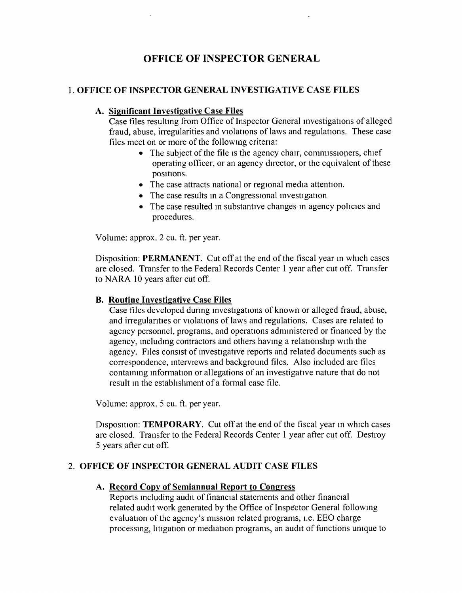# **OFFICE OF INSPECTOR GENERAL**

# 1. **OFFICE OF INSPECTOR GENERAL INVESTIGATIVE CASE FILES**

### **A. Significant Investigative Case Files**

Case files resulting from Office of Inspector General investigations of alleged fraud, abuse, irregularities and violations of laws and regulations. These case files meet on or more of the following critena:

- $\bullet$  The subject of the file is the agency chair, commissioners, chief operating officer, or an agency director, or the equivalent of these positions.
- The case attracts national or regional media attention.
- The case results in a Congressional investigation
- The case resulted in substantive changes in agency policies and procedures.

Volume: approx. 2 cu. ft. per year.

Disposition: **PERMANENT**. Cut off at the end of the fiscal year in which cases are closed. Transfer to the Federal Records Center 1 year after cut off. Transfer to NARA 10 years after cut off.

#### **B. Routine Investigative Case Files**

Case files developed dunng investigations of known or alleged fraud, abuse, and irregulanties or violations of laws and regulations. Cases are related to agency personnel, programs, and operations adnunistered or financed by the agency, mcludmg contractors and others having a relationslup with the agency. Files consist of investigative reports and related documents such as correspondence, interviews and background files. Also included are files contauung information or allegations of an investigative nature that do not result in the establishment of a formal case file.

Volume: approx. 5 cu. ft. per year.

Disposition: **TEMPORARY**. Cut off at the end of the fiscal year in which cases are closed. Transfer to the Federal Records Center 1 year after cut off. Destroy 5 years after cut off.

# 2. **OFFICE OF INSPECTOR GENERAL AUDIT CASE FILES**

#### **A. Record Copy of Semiannual Report to Congress**

Reports including audit of financial statements and other financial related audit work generated by the Office of Inspector General followmg evaluation of the agency's mission related programs, i.e. EEO charge processing, litigation or mediation programs, an audit of functions unique to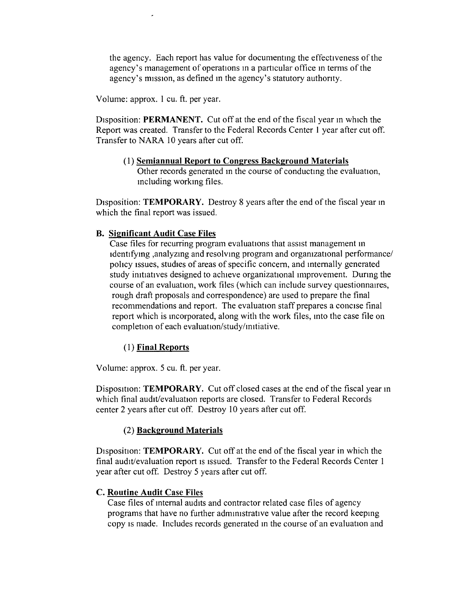the agency. Each report has value for documentmg the effectiveness of the agency's management of operations In a particular office In terms of the agency's mission, as defined in the agency's statutory authority.

Volume: approx. I cu. ft. per year.

Disposition: **PERMANENT.** Cut off at the end of the fiscal year in which the Report was created. Transfer to the Federal Records Center 1 year after cut off. Transfer to NARA 10 years after cut off.

(1) Semiannual Report to Congress Background Materials Other records generated In the course of conducting the evaluation, Including working files.

Disposition: TEMPORARY. Destroy 8 years after the end of the fiscal year in which the final report was issued.

# B. Significant Audit Case Files

Case files for recurring program evaluations that assist management In identifying ,analyzing and resolving program and organizational performance/ policy Issues, studies of areas of specific concern, and Internally generated study initiatives designed to achieve organizational Improvement. Dunng the course of an evaluation, work files (which can include survey questionnaires, rough draft proposals and correspondence) are used to prepare the final recommendations and report. The evaluation staff prepares a concise final report which is mcorporated, along with the work files, mto the case file on completion of each evaluation/study/imtiative.

#### ( 1) Final Reports

Volume: approx. 5 cu. ft. per year.

Disposition: TEMPORARY. Cut off closed cases at the end of the fiscal year in which final audit/evaluation reports are closed. Transfer to Federal Records center 2 years after cut off. Destroy 10 years after cut off.

#### (2) Background Materials

Disposition: TEMPORARY. Cut off at the end of the fiscal year in which the final audit/evaluation report is issued. Transfer to the Federal Records Center 1 year after cut off. Destroy 5 years after cut off.

#### **C. Routine Audit Case Files**

Case files of mternal audits and contractor related case files of agency programs that have no further admuustrative value after the record keeping copy is made. Includes records generated in the course of an evaluation and